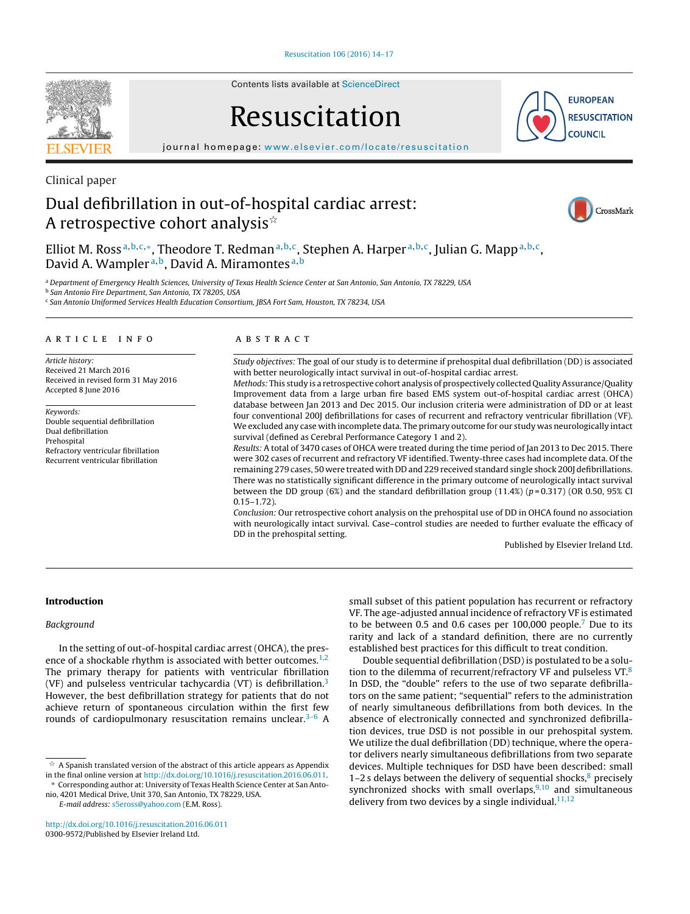

Contents lists available at [ScienceDirect](http://www.sciencedirect.com/science/journal/03009572)

# Resuscitation

**EUROPEAN RESUSCITATION COUNCIL** 

iournal homepage: [www.elsevier.com/locate/resuscitation](http://www.elsevier.com/locate/resuscitation)

# Clinical paper Dual defibrillation in out-of-hospital cardiac arrest:

A retrospective cohort analysis $^{\star}$ 



Elliot M. Ross<sup>a,b,c,\*</sup>, Theodore T. Redman<sup>a,b,c</sup>, Stephen A. Harper<sup>a,b,c</sup>, Julian G. Mapp<sup>a,b,c</sup>, David A. Wampler<sup>a,b</sup>, David A. Miramontes<sup>a,b</sup>

a Department of Emergency Health Sciences, University of Texas Health Science Center at San Antonio, San Antonio, TX 78229, USA

<sup>b</sup> San Antonio Fire Department, San Antonio, TX 78205, USA

<sup>c</sup> San Antonio Uniformed Services Health Education Consortium, JBSA Fort Sam, Houston, TX 78234, USA

# a r t i c l e i n f o

Article history: Received 21 March 2016 Received in revised form 31 May 2016 Accepted 8 June 2016

Keywords: Double sequential defibrillation Dual defibrillation Prehospital Refractory ventricular fibrillation Recurrent ventricular fibrillation

#### A B S T R A C T

Study objectives: The goal of our study is to determine if prehospital dual defibrillation (DD) is associated with better neurologically intact survival in out-of-hospital cardiac arrest.

Methods: This study is a retrospective cohort analysis of prospectively collected Quality Assurance/Quality Improvement data from a large urban fire based EMS system out-of-hospital cardiac arrest (OHCA) database between Jan 2013 and Dec 2015. Our inclusion criteria were administration of DD or at least four conventional 200J defibrillations for cases of recurrent and refractory ventricular fibrillation (VF). We excluded any case with incomplete data. The primary outcome for our study was neurologically intact survival (defined as Cerebral Performance Category 1 and 2).

Results: A total of 3470 cases of OHCA were treated during the time period of Jan 2013 to Dec 2015. There were 302 cases of recurrent and refractory VF identified. Twenty-three cases had incomplete data. Of the remaining 279 cases, 50 were treated with DD and 229 received standard single shock 200J defibrillations. There was no statistically significant difference in the primary outcome of neurologically intact survival between the DD group (6%) and the standard defibrillation group (11.4%) ( $p = 0.317$ ) (OR 0.50, 95% CI  $0.15 - 1.72$ ).

Conclusion: Our retrospective cohort analysis on the prehospital use of DD in OHCA found no association with neurologically intact survival. Case–control studies are needed to further evaluate the efficacy of DD in the prehospital setting.

Published by Elsevier Ireland Ltd.

# **Introduction**

# Background

In the setting of out-of-hospital cardiac arrest (OHCA), the presence of a shockable rhythm is associated with better outcomes.<sup>1,2</sup> The primary therapy for patients with ventricular fibrillation (VF) and pulseless ventricular tachycardia (VT) is defibrillation.<sup>3</sup> However, the best defibrillation strategy for patients that do not achieve return of spontaneous circulation within the first few rounds of cardiopulmonary resuscitation remains unclear. $3-6$  A

 $\stackrel{\scriptscriptstyle{\times}}{\scriptscriptstyle{\times}}$  A Spanish translated version of the abstract of this article appears as Appendix in the final online version at [http://dx.doi.org/10.1016/j.resuscitation.2016.06.011.](http://dx.doi.org/10.1016/j.resuscitation.2016.06.011)

∗ Corresponding author at: University of Texas Health Science Center at San Antonio, 4201 Medical Drive, Unit 370, San Antonio, TX 78229, USA.

E-mail address: [s5eross@yahoo.com](mailto:s5eross@yahoo.com) (E.M. Ross).

[http://dx.doi.org/10.1016/j.resuscitation.2016.06.011](dx.doi.org/10.1016/j.resuscitation.2016.06.011) 0300-9572/Published by Elsevier Ireland Ltd.

small subset of this patient population has recurrent or refractory VF. The age-adjusted annual incidence of refractory VF is estimated to be between 0.5 and 0.6 cases per 100,000 people.<sup>7</sup> Due to its rarity and lack of a standard definition, there are no currently established best practices for this difficult to treat condition.

Double sequential defibrillation (DSD)is postulated to be a solution to the dilemma of recurrent/refractory VF and pulseless  $VT<sup>8</sup>$  $VT<sup>8</sup>$  $VT<sup>8</sup>$ In DSD, the "double" refers to the use of two separate defibrillators on the same patient; "sequential" refers to the administration of nearly simultaneous defibrillations from both devices. In the absence of electronically connected and synchronized defibrillation devices, true DSD is not possible in our prehospital system. We utilize the dual defibrillation (DD) technique, where the operator delivers nearly simultaneous defibrillations from two separate devices. Multiple techniques for DSD have been described: small 1–2 s delays between the delivery of sequential shocks, $8$  precisely synchronized shocks with small overlaps,  $9,10$  and simultaneous delivery from two devices by a single individual. $11,12$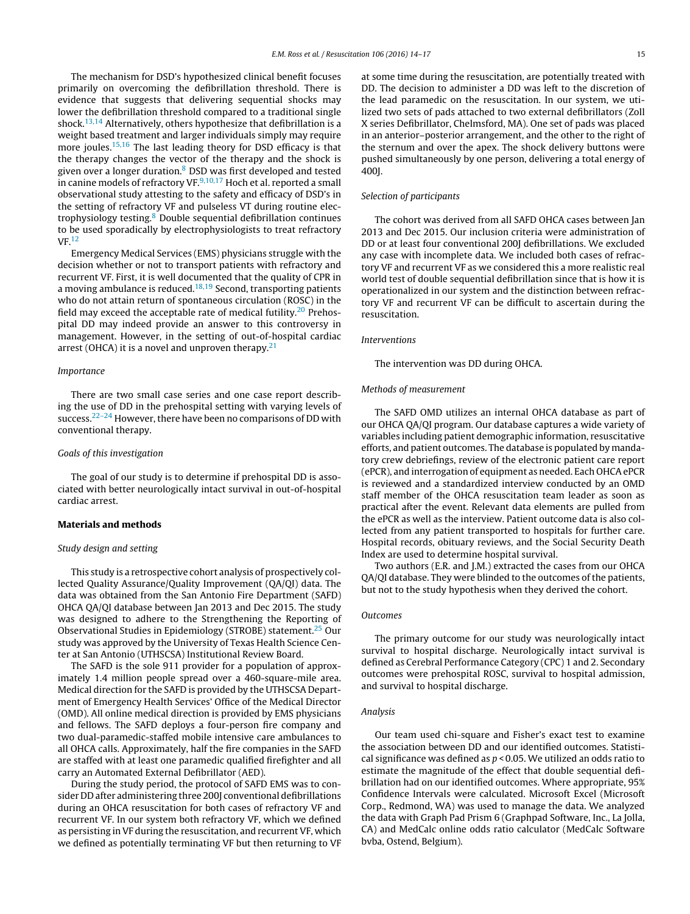The mechanism for DSD's hypothesized clinical benefit focuses primarily on overcoming the defibrillation threshold. There is evidence that suggests that delivering sequential shocks may lower the defibrillation threshold compared to a traditional single shock.<sup>[13,14](#page-3-0)</sup> Alternatively, others hypothesize that defibrillation is a weight based treatment and larger individuals simply may require more joules.<sup>[15,16](#page-3-0)</sup> The last leading theory for DSD efficacy is that the therapy changes the vector of the therapy and the shock is given over a longer duration.<sup>[8](#page-3-0)</sup> DSD was first developed and tested in canine models of refractory VF. $9,10,17$  Hoch et al. reported a small observational study attesting to the safety and efficacy of DSD's in the setting of refractory VF and pulseless VT during routine electrophysiology testing[.8](#page-3-0) Double sequential defibrillation continues to be used sporadically by electrophysiologists to treat refractory VF[.12](#page-3-0)

Emergency Medical Services (EMS) physicians struggle with the decision whether or not to transport patients with refractory and recurrent VF. First, it is well documented that the quality of CPR in a moving ambulance is reduced. $18,19$  Second, transporting patients who do not attain return of spontaneous circulation (ROSC) in the field may exceed the acceptable rate of medical futility.<sup>20</sup> Prehospital DD may indeed provide an answer to this controversy in management. However, in the setting of out-of-hospital cardiac arrest (OHCA) it is a novel and unproven therapy.<sup>21</sup>

#### Importance

There are two small case series and one case report describing the use of DD in the prehospital setting with varying levels of success.<sup>22–24</sup> However, there have been no comparisons of DD with conventional therapy.

#### Goals of this investigation

The goal of our study is to determine if prehospital DD is associated with better neurologically intact survival in out-of-hospital cardiac arrest.

#### **Materials and methods**

### Study design and setting

This study is a retrospective cohort analysis of prospectively collected Quality Assurance/Quality Improvement (QA/QI) data. The data was obtained from the San Antonio Fire Department (SAFD) OHCA QA/QI database between Jan 2013 and Dec 2015. The study was designed to adhere to the Strengthening the Reporting of Observational Studies in Epidemiology (STROBE) statement[.25](#page-3-0) Our study was approved by the University of Texas Health Science Center at San Antonio (UTHSCSA) Institutional Review Board.

The SAFD is the sole 911 provider for a population of approximately 1.4 million people spread over a 460-square-mile area. Medical direction for the SAFD is provided by the UTHSCSA Department of Emergency Health Services' Office of the Medical Director (OMD). All online medical direction is provided by EMS physicians and fellows. The SAFD deploys a four-person fire company and two dual-paramedic-staffed mobile intensive care ambulances to all OHCA calls. Approximately, half the fire companies in the SAFD are staffed with at least one paramedic qualified firefighter and all carry an Automated External Defibrillator (AED).

During the study period, the protocol of SAFD EMS was to consider DD after administering three 200J conventional defibrillations during an OHCA resuscitation for both cases of refractory VF and recurrent VF. In our system both refractory VF, which we defined as persisting in VF during the resuscitation, and recurrent VF, which we defined as potentially terminating VF but then returning to VF at some time during the resuscitation, are potentially treated with DD. The decision to administer a DD was left to the discretion of the lead paramedic on the resuscitation. In our system, we utilized two sets of pads attached to two external defibrillators (Zoll X series Defibrillator, Chelmsford, MA). One set of pads was placed in an anterior–posterior arrangement, and the other to the right of the sternum and over the apex. The shock delivery buttons were pushed simultaneously by one person, delivering a total energy of 400J.

#### Selection of participants

The cohort was derived from all SAFD OHCA cases between Jan 2013 and Dec 2015. Our inclusion criteria were administration of DD or at least four conventional 200J defibrillations. We excluded any case with incomplete data. We included both cases of refractory VF and recurrent VF as we considered this a more realistic real world test of double sequential defibrillation since that is how it is operationalized in our system and the distinction between refractory VF and recurrent VF can be difficult to ascertain during the resuscitation.

#### Interventions

The intervention was DD during OHCA.

#### Methods of measurement

The SAFD OMD utilizes an internal OHCA database as part of our OHCA QA/QI program. Our database captures a wide variety of variables including patient demographic information, resuscitative efforts, and patient outcomes. The database is populated by mandatory crew debriefings, review of the electronic patient care report (ePCR), and interrogation of equipment as needed. Each OHCA ePCR is reviewed and a standardized interview conducted by an OMD staff member of the OHCA resuscitation team leader as soon as practical after the event. Relevant data elements are pulled from the ePCR as well as the interview. Patient outcome data is also collected from any patient transported to hospitals for further care. Hospital records, obituary reviews, and the Social Security Death Index are used to determine hospital survival.

Two authors (E.R. and J.M.) extracted the cases from our OHCA QA/QI database. They were blinded to the outcomes of the patients, but not to the study hypothesis when they derived the cohort.

#### Outcomes

The primary outcome for our study was neurologically intact survival to hospital discharge. Neurologically intact survival is defined as Cerebral Performance Category (CPC) 1 and 2. Secondary outcomes were prehospital ROSC, survival to hospital admission, and survival to hospital discharge.

#### Analysis

Our team used chi-square and Fisher's exact test to examine the association between DD and our identified outcomes. Statistical significance was defined as  $p < 0.05$ . We utilized an odds ratio to estimate the magnitude of the effect that double sequential defibrillation had on our identified outcomes. Where appropriate, 95% Confidence Intervals were calculated. Microsoft Excel (Microsoft Corp., Redmond, WA) was used to manage the data. We analyzed the data with Graph Pad Prism 6 (Graphpad Software, Inc., La Jolla, CA) and MedCalc online odds ratio calculator (MedCalc Software bvba, Ostend, Belgium).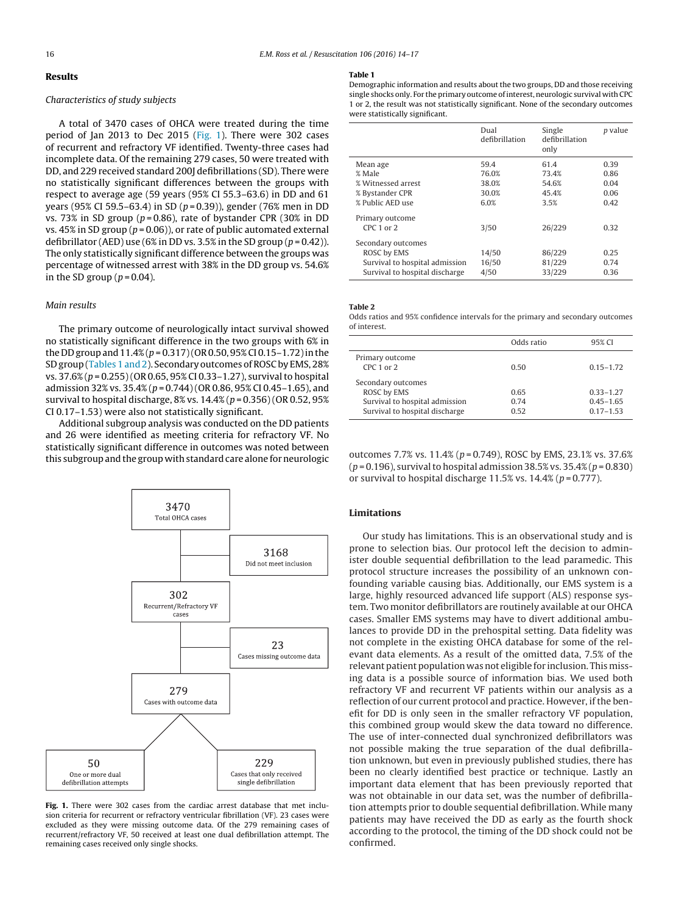# **Results**

#### Characteristics of study subjects

A total of 3470 cases of OHCA were treated during the time period of Jan 2013 to Dec 2015 (Fig. 1). There were 302 cases of recurrent and refractory VF identified. Twenty-three cases had incomplete data. Of the remaining 279 cases, 50 were treated with DD, and 229 received standard 200J defibrillations (SD). There were no statistically significant differences between the groups with respect to average age (59 years (95% CI 55.3–63.6) in DD and 61 years (95% CI 59.5–63.4) in SD (p = 0.39)), gender (76% men in DD vs. 73% in SD group ( $p = 0.86$ ), rate of bystander CPR (30% in DD vs. 45% in SD group ( $p = 0.06$ )), or rate of public automated external defibrillator (AED) use (6% in DD vs. 3.5% in the SD group ( $p = 0.42$ )). The only statistically significant difference between the groups was percentage of witnessed arrest with 38% in the DD group vs. 54.6% in the SD group  $(p=0.04)$ .

#### Main results

The primary outcome of neurologically intact survival showed no statistically significant difference in the two groups with 6% in the DD group and  $11.4\%$  ( $p = 0.317$ ) (OR 0.50, 95% CI 0.15–1.72) in the SD group (Tables 1 and 2). Secondary outcomes of ROSC by EMS, 28% vs.  $37.6\%$  ( $p = 0.255$ ) (OR 0.65, 95% CI 0.33–1.27), survival to hospital admission 32% vs. 35.4% ( $p = 0.744$ ) (OR 0.86, 95% CI 0.45–1.65), and survival to hospital discharge, 8% vs.  $14.4% (p = 0.356)$  (OR 0.52, 95%) CI 0.17–1.53) were also not statistically significant.

Additional subgroup analysis was conducted on the DD patients and 26 were identified as meeting criteria for refractory VF. No statistically significant difference in outcomes was noted between this subgroup and the group with standard care alone for neurologic



**Fig. 1.** There were 302 cases from the cardiac arrest database that met inclusion criteria for recurrent or refractory ventricular fibrillation (VF). 23 cases were excluded as they were missing outcome data. Of the 279 remaining cases of recurrent/refractory VF, 50 received at least one dual defibrillation attempt. The remaining cases received only single shocks.

#### **Table 1**

Demographic information and results about the two groups, DD and those receiving single shocks only. For the primary outcome of interest, neurologic survival with CPC 1 or 2, the result was not statistically significant. None of the secondary outcomes were statistically significant.

|                                  | Dual<br>defibrillation | Single<br>defibrillation<br>only | <i>p</i> value |
|----------------------------------|------------------------|----------------------------------|----------------|
| Mean age                         | 59.4                   | 61.4                             | 0.39           |
| % Male                           | 76.0%                  | 73.4%                            | 0.86           |
| % Witnessed arrest               | 38.0%                  | 54.6%                            | 0.04           |
| % Bystander CPR                  | 30.0%                  | 45.4%                            | 0.06           |
| % Public AED use                 | 6.0%                   | 3.5%                             | 0.42           |
| Primary outcome<br>$CPC1$ or $2$ | 3/50                   | 26/229                           | 0.32           |
| Secondary outcomes               |                        |                                  |                |
| ROSC by EMS                      | 14/50                  | 86/229                           | 0.25           |
| Survival to hospital admission   | 16/50                  | 81/229                           | 0.74           |
| Survival to hospital discharge   | 4/50                   | 33/229                           | 0.36           |

**Table 2**

Odds ratios and 95% confidence intervals for the primary and secondary outcomes of interest.

|                                | Odds ratio | 95% CI        |
|--------------------------------|------------|---------------|
| Primary outcome                |            |               |
| $CPC 1$ or $2$                 | 0.50       | $0.15 - 1.72$ |
| Secondary outcomes             |            |               |
| ROSC by EMS                    | 0.65       | $0.33 - 1.27$ |
| Survival to hospital admission | 0.74       | $0.45 - 1.65$ |
| Survival to hospital discharge | 0.52       | $0.17 - 1.53$ |

outcomes 7.7% vs. 11.4% (p = 0.749), ROSC by EMS, 23.1% vs. 37.6%  $(p = 0.196)$ , survival to hospital admission 38.5% vs. 35.4%  $(p = 0.830)$ or survival to hospital discharge 11.5% vs.  $14.4\%$  ( $p = 0.777$ ).

# **Limitations**

Our study has limitations. This is an observational study and is prone to selection bias. Our protocol left the decision to administer double sequential defibrillation to the lead paramedic. This protocol structure increases the possibility of an unknown confounding variable causing bias. Additionally, our EMS system is a large, highly resourced advanced life support (ALS) response system. Two monitor defibrillators are routinely available at our OHCA cases. Smaller EMS systems may have to divert additional ambulances to provide DD in the prehospital setting. Data fidelity was not complete in the existing OHCA database for some of the relevant data elements. As a result of the omitted data, 7.5% of the relevant patient population was not eligible for inclusion. This missing data is a possible source of information bias. We used both refractory VF and recurrent VF patients within our analysis as a reflection of our current protocol and practice. However, if the benefit for DD is only seen in the smaller refractory VF population, this combined group would skew the data toward no difference. The use of inter-connected dual synchronized defibrillators was not possible making the true separation of the dual defibrillation unknown, but even in previously published studies, there has been no clearly identified best practice or technique. Lastly an important data element that has been previously reported that was not obtainable in our data set, was the number of defibrillation attempts prior to double sequential defibrillation. While many patients may have received the DD as early as the fourth shock according to the protocol, the timing of the DD shock could not be confirmed.